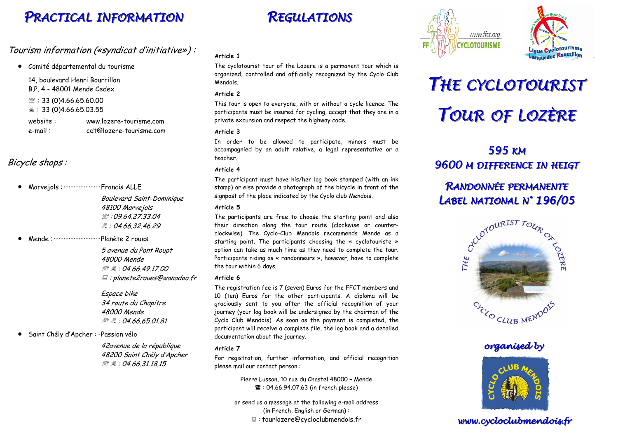# PRACTICAL INFORMATION

#### Tourism information («syndicat d'initiative») :

• Comité départemental du tourisme

14, boulevard Henri Bourrillon B.P. 4 - 48001 Mende Cedex  $\mathcal{B}: 33 (0)4.66.65.60.00$ - : 33 (0)4.66.65.03.55

website: www.lozere-tourisme.com e-mail : cdt@lozere-tourisme.com

## Bicycle shops :

Marvejols : ··························· Francis ALLE

Boulevard Saint-Dominique 48100 Marvejols  $\Re$ : 09.64.27.33.04 *凰:04.66.32.46.29* 

• Mende :····························Planète 2 roues

5 avenue du Pont Roupt 48000 Mende ा स्थान समाप्त । अस्य समाप्त । अस्य समाप्त । अस्य समाप्त । अस्य समाप्त । अस्य समाप्त ।<br>अस्य समाप्त । अस्य समाप्त । अस्य समाप्त । अस्य समाप्त । अस्य समाप्त । अस्य समाप्त । अस्य समाप्त । अस्य समाप्त <u>இத</u> : 04.66.49.17.00<br>⊑ : planete2roues@wanadoo.fr 需 具: 04.66.49.17.00

> Espace bike 34 route du Chapitre 48000 Mende  $\mathcal{B} = 0.04.66.65.01.81$

• Saint Chély d'Apcher :··Passion vélo

42avenue de la république 48200 Saint Chély d'Apcher ा स्थान समाप्त । अस्य समाप्त । अस्य समाप्त । अस्य समाप्त । अस्य समाप्त । अस्य समाप्त ।<br>अस्य समाप्त । अस्य समाप्त । अस्य समाप्त । अस्य समाप्त । अस्य समाप्त । अस्य समाप्त । अस्य समाप्त । अस्य समाप्त  $\binom{36}{4}$  : 04.66.31.18.15

## **REGULATIONS**





# THE CYCLOTOURISTTOUR OF LOZÈRE

# 595 KM9600 M DIFFERENCE IN HEIGT

## RANDONNÉE PERMANENTE LABEL NATIONAL <sup>N</sup>° 196/05



#### organised by



#### www.cycloclubmendois.fr

#### **Article 1**

The cyclotourist tour of the Lozere is a permanent tour which is organized, controlled and officially recognized by the Cyclo Club Mendois.

#### **Article 2**

This tour is open to everyone, with or without a cycle licence. The participants must be insured for cycling, accept that they are in a private excursion and respect the highway code.

#### **Article 3**

In order to be allowed to participate, minors must be accompagnied by an adult relative, a legal representative or a teacher.

#### **Article 4**

The participant must have his/her log book stamped (with an ink stamp) or else provide a photograph of the bicycle in front of the signpost of the place indicated by the Cyclo club Mendois.

#### **Article 5**

The participants are free to choose the starting point and also their direction along the tour route (clockwise or counterclockwise). The Cyclo-Club Mendois recommends Mende as a starting point. The participants choosing the « cyclotouriste » option can take as much time as they need to complete the tour. Participants riding as « randonneurs », however, have to complete the tour within 6 days.

#### **Article 6**

The registration fee is 7 (seven) Euros for the FFCT members and 10 (ten) Euros for the other participants. A diploma will be graciously sent to you after the official recognition of your journey (your log book will be undersigned by the chairman of the Cyclo Club Mendois). As soon as the payment is completed, the participant will receive a complete file, the log book and a detailed documentation about the journey.

#### **Article 7**

For registration, further information, and official recognition please mail our contact person :

> Pierre Lusson, 10 rue du Chastel 48000 – Mende  $\mathbf{R}$ : 04.66.94.07.63 (in french please)

or send us a message at the following e-mail address (in French, English or German) :- : tourlozere@cycloclubmendois.fr